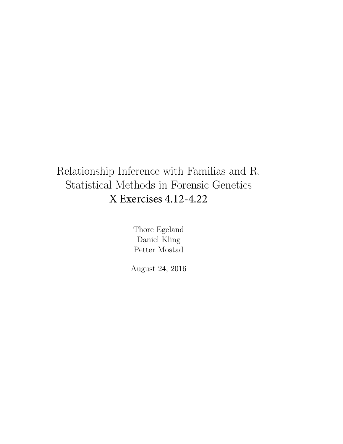## Relationship Inference with Familias and R. Statistical Methods in Forensic Genetics X Exercises 4.12-4.22

Thore Egeland Daniel Kling Petter Mostad

August 24, 2016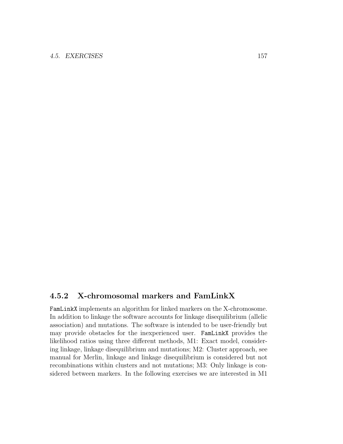## 4.5.2 X-chromosomal markers and FamLinkX

FamLinkX implements an algorithm for linked markers on the X-chromosome. In addition to linkage the software accounts for linkage disequilibrium (allelic association) and mutations. The software is intended to be user-friendly but may provide obstacles for the inexperienced user. FamLinkX provides the likelihood ratios using three different methods, M1: Exact model, considering linkage, linkage disequilibrium and mutations; M2: Cluster approach, see manual for Merlin, linkage and linkage disequilibrium is considered but not recombinations within clusters and not mutations; M3: Only linkage is considered between markers. In the following exercises we are interested in M1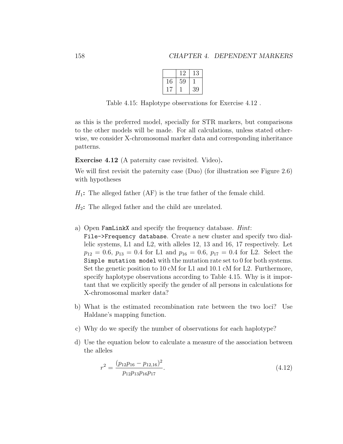<span id="page-2-1"></span>

|    | ゖソ | 13 |
|----|----|----|
| 16 | 59 |    |
|    |    | 39 |

Table 4.15: Haplotype observations for Exercise [4.12](#page-2-0) .

as this is the preferred model, specially for STR markers, but comparisons to the other models will be made. For all calculations, unless stated otherwise, we consider X-chromosomal marker data and corresponding inheritance patterns.

<span id="page-2-0"></span>Exercise 4.12 (A paternity case revisited. Video).

We will first revisit the paternity case (Duo) (for illustration see Figure [2.6\)](#page--1-0) with hypotheses

 $H_1$ : The alleged father (AF) is the true father of the female child.

 $H_2$ : The alleged father and the child are unrelated.

- a) Open FamLinkX and specify the frequency database. Hint:
	- File->Frequency database. Create a new cluster and specify two diallelic systems, L1 and L2, with alleles 12, 13 and 16, 17 respectively. Let  $p_{12} = 0.6, p_{13} = 0.4$  for L1 and  $p_{16} = 0.6, p_{17} = 0.4$  for L2. Select the Simple mutation model with the mutation rate set to 0 for both systems. Set the genetic position to 10 cM for L1 and 10.1 cM for L2. Furthermore, specify haplotype observations according to Table [4.15.](#page-2-1) Why is it important that we explicitly specify the gender of all persons in calculations for X-chromosomal marker data?
- b) What is the estimated recombination rate between the two loci? Use Haldane's mapping function.
- c) Why do we specify the number of observations for each haplotype?
- d) Use the equation below to calculate a measure of the association between the alleles

$$
r^2 = \frac{(p_{12}p_{16} - p_{12,16})^2}{p_{12}p_{13}p_{16}p_{17}}.\tag{4.12}
$$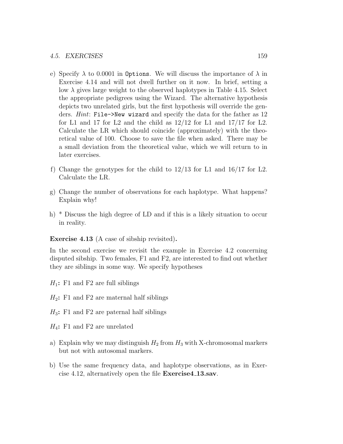- e) Specify  $\lambda$  to 0.0001 in Options. We will discuss the importance of  $\lambda$  in Exercise [4.14](#page-4-0) and will not dwell further on it now. In brief, setting a low  $\lambda$  gives large weight to the observed haplotypes in Table [4.15.](#page-2-1) Select the appropriate pedigrees using the Wizard. The alternative hypothesis depicts two unrelated girls, but the first hypothesis will override the genders. *Hint*: File->New wizard and specify the data for the father as 12 for L1 and 17 for L2 and the child as  $12/12$  for L1 and  $17/17$  for L2. Calculate the LR which should coincide (approximately) with the theoretical value of 100. Choose to save the file when asked. There may be a small deviation from the theoretical value, which we will return to in later exercises.
- f) Change the genotypes for the child to 12/13 for L1 and 16/17 for L2. Calculate the LR.
- g) Change the number of observations for each haplotype. What happens? Explain why!
- h) \* Discuss the high degree of LD and if this is a likely situation to occur in reality.

Exercise 4.13 (A case of sibship revisited).

In the second exercise we revisit the example in Exercise [4.2](#page--1-1) concerning disputed sibship. Two females, F1 and F2, are interested to find out whether they are siblings in some way. We specify hypotheses

 $H_1$ : F1 and F2 are full siblings

 $H_2$ : F1 and F2 are maternal half siblings

 $H_3$ : F1 and F2 are paternal half siblings

 $H_4$ : F1 and F2 are unrelated

- a) Explain why we may distinguish  $H_2$  from  $H_3$  with X-chromosomal markers but not with autosomal markers.
- b) Use the same frequency data, and haplotype observations, as in Exercise [4.12,](#page-2-0) alternatively open the file Exercise4 13.sav.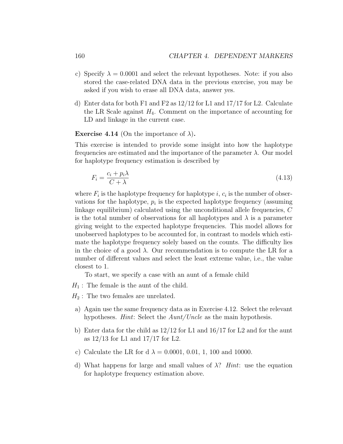- c) Specify  $\lambda = 0.0001$  and select the relevant hypotheses. Note: if you also stored the case-related DNA data in the previous exercise, you may be asked if you wish to erase all DNA data, answer yes.
- d) Enter data for both F1 and F2 as 12/12 for L1 and 17/17 for L2. Calculate the LR Scale against  $H_4$ . Comment on the importance of accounting for LD and linkage in the current case.

<span id="page-4-0"></span>**Exercise 4.14** (On the importance of  $\lambda$ ).

This exercise is intended to provide some insight into how the haplotype frequencies are estimated and the importance of the parameter  $\lambda$ . Our model for haplotype frequency estimation is described by

$$
F_i = \frac{c_i + p_i \lambda}{C + \lambda} \tag{4.13}
$$

where  $F_i$  is the haplotype frequency for haplotype i,  $c_i$  is the number of observations for the haplotype,  $p_i$  is the expected haplotype frequency (assuming linkage equilibrium) calculated using the unconditional allele frequencies, C is the total number of observations for all haplotypes and  $\lambda$  is a parameter giving weight to the expected haplotype frequencies. This model allows for unobserved haplotypes to be accounted for, in contrast to models which estimate the haplotype frequency solely based on the counts. The difficulty lies in the choice of a good  $\lambda$ . Our recommendation is to compute the LR for a number of different values and select the least extreme value, i.e., the value closest to 1.

To start, we specify a case with an aunt of a female child

 $H_1$ : The female is the aunt of the child.

 $H_2$ : The two females are unrelated.

- a) Again use the same frequency data as in Exercise [4.12.](#page-2-0) Select the relevant hypotheses. *Hint*: Select the  $Aunt/Uncle$  as the main hypothesis.
- b) Enter data for the child as 12/12 for L1 and 16/17 for L2 and for the aunt as 12/13 for L1 and 17/17 for L2.
- c) Calculate the LR for d  $\lambda = 0.0001, 0.01, 1, 100$  and 10000.
- d) What happens for large and small values of  $\lambda$ ? Hint: use the equation for haplotype frequency estimation above.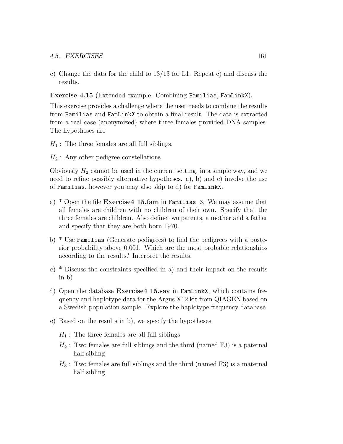e) Change the data for the child to 13/13 for L1. Repeat c) and discuss the results.

Exercise 4.15 (Extended example. Combining Familias, FamLinkX).

This exercise provides a challenge where the user needs to combine the results from Familias and FamLinkX to obtain a final result. The data is extracted from a real case (anonymized) where three females provided DNA samples. The hypotheses are

- $H_1$ : The three females are all full siblings.
- $H_2$ : Any other pedigree constellations.

Obviously  $H_2$  cannot be used in the current setting, in a simple way, and we need to refine possibly alternative hypotheses. a), b) and c) involve the use of Familias, however you may also skip to d) for FamLinkX.

- a)  $*$  Open the file **Exercise4.15.fam** in Familias 3. We may assume that all females are children with no children of their own. Specify that the three females are children. Also define two parents, a mother and a father and specify that they are both born 1970.
- b) \* Use Familias (Generate pedigrees) to find the pedigrees with a posterior probability above 0.001. Which are the most probable relationships according to the results? Interpret the results.
- c) \* Discuss the constraints specified in a) and their impact on the results in b)
- d) Open the database Exercise4 15.sav in FamLinkX, which contains frequency and haplotype data for the Argus X12 kit from QIAGEN based on a Swedish population sample. Explore the haplotype frequency database.
- e) Based on the results in b), we specify the hypotheses
	- $H_1$ : The three females are all full siblings
	- $H_2$ : Two females are full siblings and the third (named F3) is a paternal half sibling
	- $H_3$ : Two females are full siblings and the third (named F3) is a maternal half sibling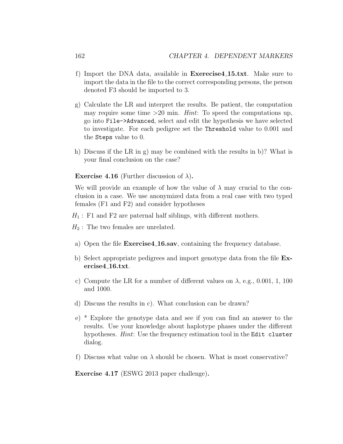- f) Import the DNA data, available in Exerecise4 15.txt. Make sure to import the data in the file to the correct corresponding persons, the person denoted F3 should be imported to 3.
- g) Calculate the LR and interpret the results. Be patient, the computation may require some time  $>20$  min. *Hint*: To speed the computations up, go into File->Advanced, select and edit the hypothesis we have selected to investigate. For each pedigree set the Threshold value to 0.001 and the Steps value to 0.
- h) Discuss if the LR in g) may be combined with the results in b)? What is your final conclusion on the case?

**Exercise 4.16** (Further discussion of  $\lambda$ ).

We will provide an example of how the value of  $\lambda$  may crucial to the conclusion in a case. We use anonymized data from a real case with two typed females (F1 and F2) and consider hypotheses

 $H_1$ : F1 and F2 are paternal half siblings, with different mothers.

 $H_2$ : The two females are unrelated.

- a) Open the file Exercise4 16.sav, containing the frequency database.
- b) Select appropriate pedigrees and import genotype data from the file Exercise4 16.txt.
- c) Compute the LR for a number of different values on  $\lambda$ , e.g., 0.001, 1, 100 and 1000.
- d) Discuss the results in c). What conclusion can be drawn?
- e) \* Explore the genotype data and see if you can find an answer to the results. Use your knowledge about haplotype phases under the different hypotheses. *Hint*: Use the frequency estimation tool in the Edit cluster dialog.
- f) Discuss what value on  $\lambda$  should be chosen. What is most conservative?

Exercise 4.17 (ESWG 2013 paper challenge).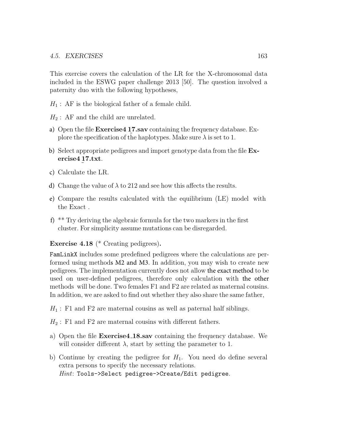This exercise covers the calculation of the LR for the X-chromosomal data included in the ESWG paper challenge 2013 [\[50\]](#page--1-2). The question involved a paternity duo with the following hypotheses,

- $H_1$ : AF is the biological father of a female child.
- $H_2$ : AF and the child are unrelated.
- a) Open the file Exercise4 17.sav containing the frequency database. Explore the specification of the haplotypes. Make sure  $\lambda$  is set to 1.
- b) Select appropriate pedigrees and import genotype data from the file **Ex**ercise4 17.txt.
- c) Calculate the LR.
- d) Change the value of  $\lambda$  to 212 and see how this affects the results.
- e) Compare the results calculated with the equilibrium (LE) model with the Exact .
- f)  $*$ <sup>\*</sup> Try deriving the algebraic formula for the two markers in the first cluster. For simplicity assume mutations can be disregarded.

## Exercise 4.18 (\* Creating pedigrees).

FamLinkX includes some predefined pedigrees where the calculations are performed using methods M2 and M3. In addition, you may wish to create new pedigrees. The implementation currently does not allow the exact method to be used on user-defined pedigrees, therefore only calculation with the other methods will be done. Two females F1 and F2 are related as maternal cousins. In addition, we are asked to find out whether they also share the same father,

 $H_1$ : F1 and F2 are maternal cousins as well as paternal half siblings.

 $H_2$ : F1 and F2 are maternal cousins with different fathers.

- a) Open the file Exercise4 18.sav containing the frequency database. We will consider different  $\lambda$ , start by setting the parameter to 1.
- b) Continue by creating the pedigree for  $H_1$ . You need do define several extra persons to specify the necessary relations.  $Hint: Tools - S\text{elect pedigree} > \text{Create}/\text{Edit pedigree}.$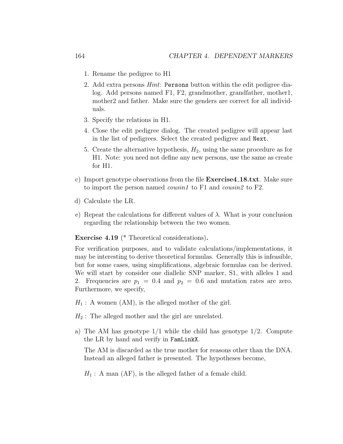- 1. Rename the pedigree to H1
- 2. Add extra persons *Hint*: Persons button within the edit pedigree dialog. Add persons named F1, F2, grandmother, grandfather, mother1, mother2 and father. Make sure the genders are correct for all individuals.
- 3. Specify the relations in H1.
- 4. Close the edit pedigree dialog. The created pedigree will appear last in the list of pedigrees. Select the created pedigree and Next.
- 5. Create the alternative hypothesis,  $H_2$ , using the same procedure as for H1. Note: you need not define any new persons, use the same as create for H1.
- c) Import genotype observations from the file Exercise4 18.txt. Make sure to import the person named *cousin1* to F1 and *cousin2* to F2.
- d) Calculate the LR.
- e) Repeat the calculations for different values of  $\lambda$ . What is your conclusion regarding the relationship between the two women.

<span id="page-8-0"></span>Exercise 4.19 (\* Theoretical considerations).

For verification purposes, and to validate calculations/implementations, it may be interesting to derive theoretical formulas. Generally this is infeasible, but for some cases, using simplifications, algebraic formulas can be derived. We will start by consider one diallelic SNP marker, S1, with alleles 1 and 2. Frequencies are  $p_1 = 0.4$  and  $p_2 = 0.6$  and mutation rates are zero. Furthermore, we specify,

 $H_1$ : A women (AM), is the alleged mother of the girl.

 $H_2$ : The alleged mother and the girl are unrelated.

a) The AM has genotype  $1/1$  while the child has genotype  $1/2$ . Compute the LR by hand and verify in FamLinkX.

The AM is discarded as the true mother for reasons other than the DNA. Instead an alleged father is presented. The hypotheses become,

 $H_1$ : A man (AF), is the alleged father of a female child.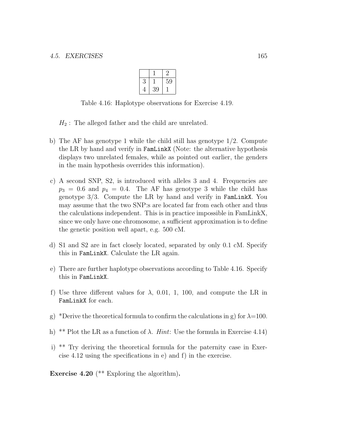<span id="page-9-0"></span>

| 3 |    | 59 |
|---|----|----|
| 4 | 39 |    |

Table 4.16: Haplotype observations for Exercise [4.19.](#page-8-0)

 $H_2$ : The alleged father and the child are unrelated.

- b) The AF has genotype 1 while the child still has genotype 1/2. Compute the LR by hand and verify in FamLinkX (Note: the alternative hypothesis displays two unrelated females, while as pointed out earlier, the genders in the main hypothesis overrides this information).
- c) A second SNP, S2, is introduced with alleles 3 and 4. Frequencies are  $p_3 = 0.6$  and  $p_4 = 0.4$ . The AF has genotype 3 while the child has genotype 3/3. Compute the LR by hand and verify in FamLinkX. You may assume that the two SNP:s are located far from each other and thus the calculations independent. This is in practice impossible in FamLinkX, since we only have one chromosome, a sufficient approximation is to define the genetic position well apart, e.g. 500 cM.
- d) S1 and S2 are in fact closely located, separated by only 0.1 cM. Specify this in FamLinkX. Calculate the LR again.
- e) There are further haplotype observations according to Table [4.16.](#page-9-0) Specify this in FamLinkX.
- f) Use three different values for  $\lambda$ , 0.01, 1, 100, and compute the LR in FamLinkX for each.
- g) \*Derive the theoretical formula to confirm the calculations in g) for  $\lambda=100$ .
- h) \*\* Plot the LR as a function of  $\lambda$ . *Hint*: Use the formula in Exercise [4.14\)](#page-4-0)
- i) \*\* Try deriving the theoretical formula for the paternity case in Exercise [4.12](#page-2-0) using the specifications in e) and f) in the exercise.
- **Exercise 4.20** (\*\* Exploring the algorithm).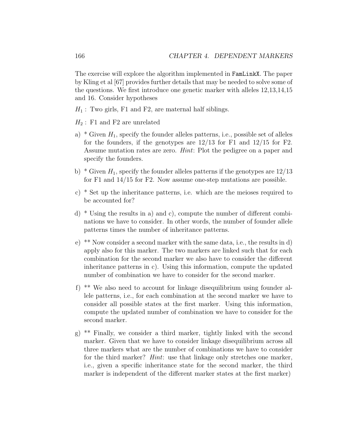The exercise will explore the algorithm implemented in FamLinkX. The paper by Kling et al [\[67\]](#page--1-3) provides further details that may be needed to solve some of the questions. We first introduce one genetic marker with alleles 12,13,14,15 and 16. Consider hypotheses

- $H_1$ : Two girls, F1 and F2, are maternal half siblings.
- $H_2$ : F1 and F2 are unrelated
- a) \* Given  $H_1$ , specify the founder alleles patterns, i.e., possible set of alleles for the founders, if the genotypes are  $12/13$  for F1 and  $12/15$  for F2. Assume mutation rates are zero. Hint: Plot the pedigree on a paper and specify the founders.
- b) \* Given  $H_1$ , specify the founder alleles patterns if the genotypes are  $12/13$ for F1 and 14/15 for F2. Now assume one-step mutations are possible.
- c) \* Set up the inheritance patterns, i.e. which are the meioses required to be accounted for?
- d)  $*$  Using the results in a) and c), compute the number of different combinations we have to consider. In other words, the number of founder allele patterns times the number of inheritance patterns.
- e) \*\* Now consider a second marker with the same data, i.e., the results in d) apply also for this marker. The two markers are linked such that for each combination for the second marker we also have to consider the different inheritance patterns in c). Using this information, compute the updated number of combination we have to consider for the second marker.
- f) \*\* We also need to account for linkage disequilibrium using founder allele patterns, i.e., for each combination at the second marker we have to consider all possible states at the first marker. Using this information, compute the updated number of combination we have to consider for the second marker.
- g) \*\* Finally, we consider a third marker, tightly linked with the second marker. Given that we have to consider linkage disequilibrium across all three markers what are the number of combinations we have to consider for the third marker? *Hint*: use that linkage only stretches one marker, i.e., given a specific inheritance state for the second marker, the third marker is independent of the different marker states at the first marker)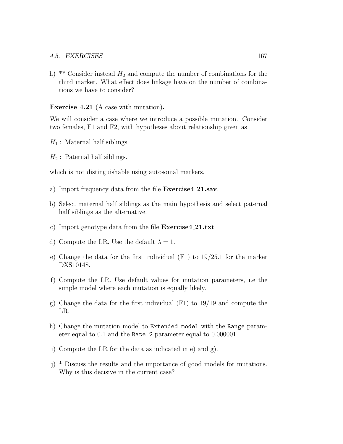h) \*\* Consider instead  $H_2$  and compute the number of combinations for the third marker. What effect does linkage have on the number of combinations we have to consider?

Exercise 4.21 (A case with mutation).

We will consider a case where we introduce a possible mutation. Consider two females, F1 and F2, with hypotheses about relationship given as

- $H_1$ : Maternal half siblings.
- $H_2$ : Paternal half siblings.

which is not distinguishable using autosomal markers.

- a) Import frequency data from the file **Exercise4\_21.sav**.
- b) Select maternal half siblings as the main hypothesis and select paternal half siblings as the alternative.
- c) Import genotype data from the file Exercise4 21.txt
- d) Compute the LR. Use the default  $\lambda = 1$ .
- e) Change the data for the first individual (F1) to 19/25.1 for the marker DXS10148.
- f) Compute the LR. Use default values for mutation parameters, i.e the simple model where each mutation is equally likely.
- g) Change the data for the first individual (F1) to 19/19 and compute the LR.
- h) Change the mutation model to Extended model with the Range parameter equal to 0.1 and the Rate 2 parameter equal to 0.000001.
- i) Compute the LR for the data as indicated in e) and g).
- j) \* Discuss the results and the importance of good models for mutations. Why is this decisive in the current case?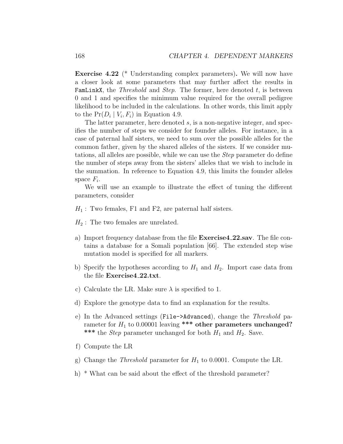Exercise 4.22 (\* Understanding complex parameters). We will now have a closer look at some parameters that may further affect the results in **FamLinkX**, the *Threshold* and *Step.* The former, here denoted  $t$ , is between 0 and 1 and specifies the minimum value required for the overall pedigree likelihood to be included in the calculations. In other words, this limit apply to the  $Pr(D_i | V_i, F_i)$  in Equation [4.9.](#page--1-4)

The latter parameter, here denoted s, is a non-negative integer, and specifies the number of steps we consider for founder alleles. For instance, in a case of paternal half sisters, we need to sum over the possible alleles for the common father, given by the shared alleles of the sisters. If we consider mutations, all alleles are possible, while we can use the Step parameter do define the number of steps away from the sisters' alleles that we wish to include in the summation. In reference to Equation [4.9,](#page--1-4) this limits the founder alleles space  $F_i$ .

We will use an example to illustrate the effect of tuning the different parameters, consider

- $H_1$ : Two females, F1 and F2, are paternal half sisters.
- $H_2$ : The two females are unrelated.
- a) Import frequency database from the file Exercise4 22.sav. The file contains a database for a Somali population [\[66\]](#page--1-5). The extended step wise mutation model is specified for all markers.
- b) Specify the hypotheses according to  $H_1$  and  $H_2$ . Import case data from the file Exercise 4.22.txt.
- c) Calculate the LR. Make sure  $\lambda$  is specified to 1.
- d) Explore the genotype data to find an explanation for the results.
- e) In the Advanced settings (File->Advanced), change the Threshold parameter for  $H_1$  to 0.00001 leaving \*\*\* other parameters unchanged? \*\*\* the *Step* parameter unchanged for both  $H_1$  and  $H_2$ . Save.
- f) Compute the LR
- g) Change the *Threshold* parameter for  $H_1$  to 0.0001. Compute the LR.
- h) \* What can be said about the effect of the threshold parameter?